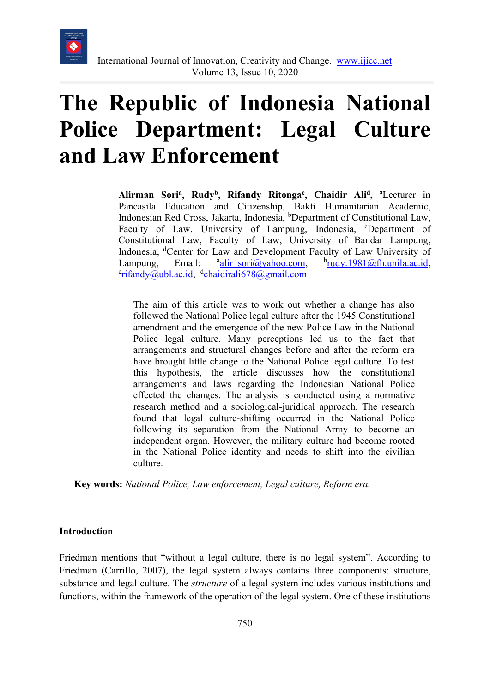

# **The Republic of Indonesia National Police Department: Legal Culture and Law Enforcement**

Alirman Sori<sup>a</sup>, Rudy<sup>b</sup>, Rifandy Ritonga<sup>c</sup>, Chaidir Ali<sup>d</sup>, <sup>a</sup>Lecturer in Pancasila Education and Citizenship, Bakti Humanitarian Academic, Indonesian Red Cross, Jakarta, Indonesia, <sup>b</sup>Department of Constitutional Law, Faculty of Law, University of Lampung, Indonesia, <sup>c</sup>Department of Constitutional Law, Faculty of Law, University of Bandar Lampung, Indonesia, <sup>d</sup>Center for Law and Development Faculty of Law University of Lampung, Email: <sup>a</sup>alir sori@yahoo.com,  $<sup>b</sup>$ [rudy.1981@fh.unila.ac.id,](mailto:rudy.1981@fh.unila.ac.id)</sup> <sup>c</sup>[rifandy@ubl.ac.id,](mailto:rifandy@ubl.ac.id) d[chaidirali678@gmail.com](mailto:chaidirali678@gmail.com)

The aim of this article was to work out whether a change has also followed the National Police legal culture after the 1945 Constitutional amendment and the emergence of the new Police Law in the National Police legal culture. Many perceptions led us to the fact that arrangements and structural changes before and after the reform era have brought little change to the National Police legal culture. To test this hypothesis, the article discusses how the constitutional arrangements and laws regarding the Indonesian National Police effected the changes. The analysis is conducted using a normative research method and a sociological-juridical approach. The research found that legal culture-shifting occurred in the National Police following its separation from the National Army to become an independent organ. However, the military culture had become rooted in the National Police identity and needs to shift into the civilian culture.

**Key words:** *National Police, Law enforcement, Legal culture, Reform era.* 

#### **Introduction**

Friedman mentions that "without a legal culture, there is no legal system". According to Friedman (Carrillo, 2007), the legal system always contains three components: structure, substance and legal culture. The *structure* of a legal system includes various institutions and functions, within the framework of the operation of the legal system. One of these institutions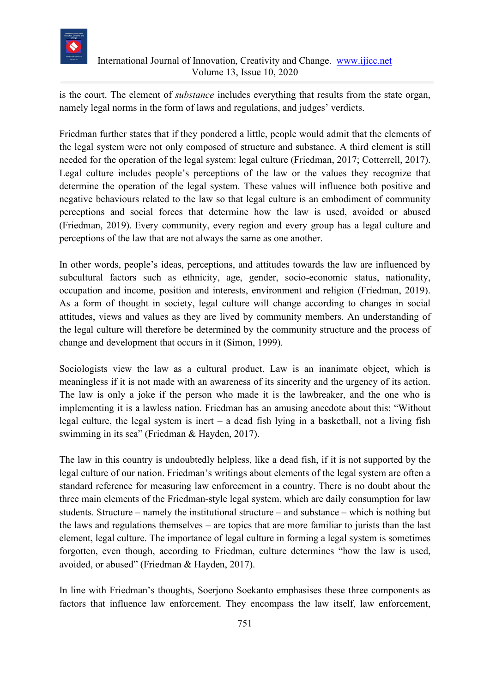

is the court. The element of *substance* includes everything that results from the state organ, namely legal norms in the form of laws and regulations, and judges' verdicts.

Friedman further states that if they pondered a little, people would admit that the elements of the legal system were not only composed of structure and substance. A third element is still needed for the operation of the legal system: legal culture (Friedman, 2017; Cotterrell, 2017). Legal culture includes people's perceptions of the law or the values they recognize that determine the operation of the legal system. These values will influence both positive and negative behaviours related to the law so that legal culture is an embodiment of community perceptions and social forces that determine how the law is used, avoided or abused (Friedman, 2019). Every community, every region and every group has a legal culture and perceptions of the law that are not always the same as one another.

In other words, people's ideas, perceptions, and attitudes towards the law are influenced by subcultural factors such as ethnicity, age, gender, socio-economic status, nationality, occupation and income, position and interests, environment and religion (Friedman, 2019). As a form of thought in society, legal culture will change according to changes in social attitudes, views and values as they are lived by community members. An understanding of the legal culture will therefore be determined by the community structure and the process of change and development that occurs in it (Simon, 1999).

Sociologists view the law as a cultural product. Law is an inanimate object, which is meaningless if it is not made with an awareness of its sincerity and the urgency of its action. The law is only a joke if the person who made it is the lawbreaker, and the one who is implementing it is a lawless nation. Friedman has an amusing anecdote about this: "Without legal culture, the legal system is inert – a dead fish lying in a basketball, not a living fish swimming in its sea" (Friedman & Hayden, 2017).

The law in this country is undoubtedly helpless, like a dead fish, if it is not supported by the legal culture of our nation. Friedman's writings about elements of the legal system are often a standard reference for measuring law enforcement in a country. There is no doubt about the three main elements of the Friedman-style legal system, which are daily consumption for law students. Structure – namely the institutional structure – and substance – which is nothing but the laws and regulations themselves – are topics that are more familiar to jurists than the last element, legal culture. The importance of legal culture in forming a legal system is sometimes forgotten, even though, according to Friedman, culture determines "how the law is used, avoided, or abused" (Friedman & Hayden, 2017).

In line with Friedman's thoughts, Soerjono Soekanto emphasises these three components as factors that influence law enforcement. They encompass the law itself, law enforcement,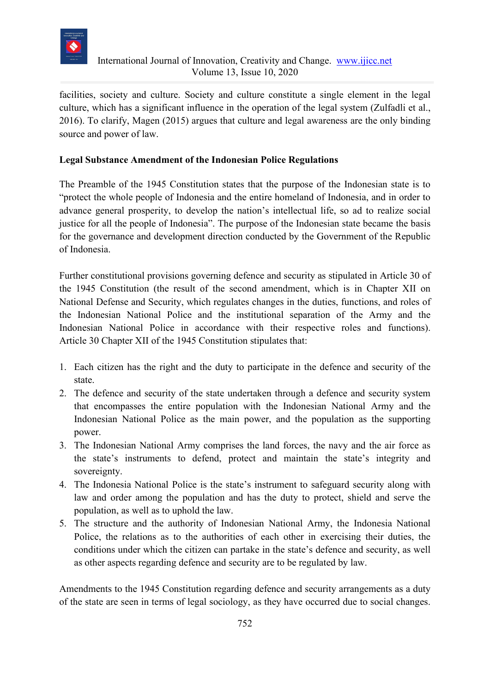

facilities, society and culture. Society and culture constitute a single element in the legal culture, which has a significant influence in the operation of the legal system (Zulfadli et al., 2016). To clarify, Magen (2015) argues that culture and legal awareness are the only binding source and power of law.

#### **Legal Substance Amendment of the Indonesian Police Regulations**

The Preamble of the 1945 Constitution states that the purpose of the Indonesian state is to "protect the whole people of Indonesia and the entire homeland of Indonesia, and in order to advance general prosperity, to develop the nation's intellectual life, so ad to realize social justice for all the people of Indonesia". The purpose of the Indonesian state became the basis for the governance and development direction conducted by the Government of the Republic of Indonesia.

Further constitutional provisions governing defence and security as stipulated in Article 30 of the 1945 Constitution (the result of the second amendment, which is in Chapter XII on National Defense and Security, which regulates changes in the duties, functions, and roles of the Indonesian National Police and the institutional separation of the Army and the Indonesian National Police in accordance with their respective roles and functions). Article 30 Chapter XII of the 1945 Constitution stipulates that:

- 1. Each citizen has the right and the duty to participate in the defence and security of the state.
- 2. The defence and security of the state undertaken through a defence and security system that encompasses the entire population with the Indonesian National Army and the Indonesian National Police as the main power, and the population as the supporting power.
- 3. The Indonesian National Army comprises the land forces, the navy and the air force as the state's instruments to defend, protect and maintain the state's integrity and sovereignty.
- 4. The Indonesia National Police is the state's instrument to safeguard security along with law and order among the population and has the duty to protect, shield and serve the population, as well as to uphold the law.
- 5. The structure and the authority of Indonesian National Army, the Indonesia National Police, the relations as to the authorities of each other in exercising their duties, the conditions under which the citizen can partake in the state's defence and security, as well as other aspects regarding defence and security are to be regulated by law.

Amendments to the 1945 Constitution regarding defence and security arrangements as a duty of the state are seen in terms of legal sociology, as they have occurred due to social changes.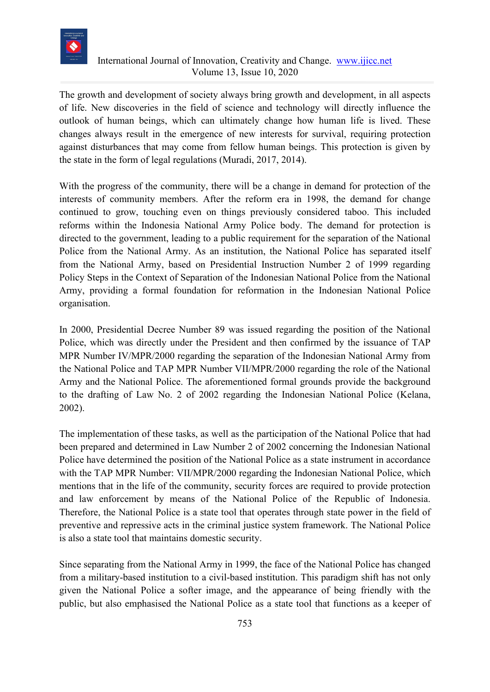

## International Journal of Innovation, Creativity and Change. [www.ijicc.net](http://www.ijicc.net/) Volume 13, Issue 10, 2020

The growth and development of society always bring growth and development, in all aspects of life. New discoveries in the field of science and technology will directly influence the outlook of human beings, which can ultimately change how human life is lived. These changes always result in the emergence of new interests for survival, requiring protection against disturbances that may come from fellow human beings. This protection is given by the state in the form of legal regulations (Muradi, 2017, 2014).

With the progress of the community, there will be a change in demand for protection of the interests of community members. After the reform era in 1998, the demand for change continued to grow, touching even on things previously considered taboo. This included reforms within the Indonesia National Army Police body. The demand for protection is directed to the government, leading to a public requirement for the separation of the National Police from the National Army. As an institution, the National Police has separated itself from the National Army, based on Presidential Instruction Number 2 of 1999 regarding Policy Steps in the Context of Separation of the Indonesian National Police from the National Army, providing a formal foundation for reformation in the Indonesian National Police organisation.

In 2000, Presidential Decree Number 89 was issued regarding the position of the National Police, which was directly under the President and then confirmed by the issuance of TAP MPR Number IV/MPR/2000 regarding the separation of the Indonesian National Army from the National Police and TAP MPR Number VII/MPR/2000 regarding the role of the National Army and the National Police. The aforementioned formal grounds provide the background to the drafting of Law No. 2 of 2002 regarding the Indonesian National Police (Kelana, 2002).

The implementation of these tasks, as well as the participation of the National Police that had been prepared and determined in Law Number 2 of 2002 concerning the Indonesian National Police have determined the position of the National Police as a state instrument in accordance with the TAP MPR Number: VII/MPR/2000 regarding the Indonesian National Police, which mentions that in the life of the community, security forces are required to provide protection and law enforcement by means of the National Police of the Republic of Indonesia. Therefore, the National Police is a state tool that operates through state power in the field of preventive and repressive acts in the criminal justice system framework. The National Police is also a state tool that maintains domestic security.

Since separating from the National Army in 1999, the face of the National Police has changed from a military-based institution to a civil-based institution. This paradigm shift has not only given the National Police a softer image, and the appearance of being friendly with the public, but also emphasised the National Police as a state tool that functions as a keeper of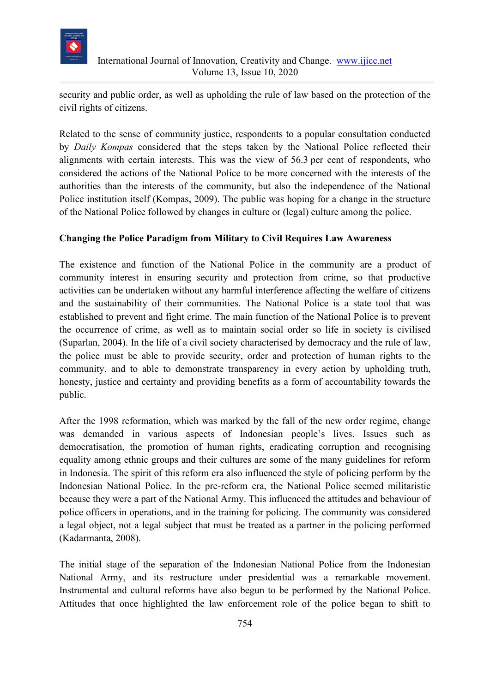

security and public order, as well as upholding the rule of law based on the protection of the civil rights of citizens.

Related to the sense of community justice, respondents to a popular consultation conducted by *Daily Kompas* considered that the steps taken by the National Police reflected their alignments with certain interests. This was the view of 56.3 per cent of respondents, who considered the actions of the National Police to be more concerned with the interests of the authorities than the interests of the community, but also the independence of the National Police institution itself (Kompas, 2009). The public was hoping for a change in the structure of the National Police followed by changes in culture or (legal) culture among the police.

### **Changing the Police Paradigm from Military to Civil Requires Law Awareness**

The existence and function of the National Police in the community are a product of community interest in ensuring security and protection from crime, so that productive activities can be undertaken without any harmful interference affecting the welfare of citizens and the sustainability of their communities. The National Police is a state tool that was established to prevent and fight crime. The main function of the National Police is to prevent the occurrence of crime, as well as to maintain social order so life in society is civilised (Suparlan, 2004). In the life of a civil society characterised by democracy and the rule of law, the police must be able to provide security, order and protection of human rights to the community, and to able to demonstrate transparency in every action by upholding truth, honesty, justice and certainty and providing benefits as a form of accountability towards the public.

After the 1998 reformation, which was marked by the fall of the new order regime, change was demanded in various aspects of Indonesian people's lives. Issues such as democratisation, the promotion of human rights, eradicating corruption and recognising equality among ethnic groups and their cultures are some of the many guidelines for reform in Indonesia. The spirit of this reform era also influenced the style of policing perform by the Indonesian National Police. In the pre-reform era, the National Police seemed militaristic because they were a part of the National Army. This influenced the attitudes and behaviour of police officers in operations, and in the training for policing. The community was considered a legal object, not a legal subject that must be treated as a partner in the policing performed (Kadarmanta, 2008).

The initial stage of the separation of the Indonesian National Police from the Indonesian National Army, and its restructure under presidential was a remarkable movement. Instrumental and cultural reforms have also begun to be performed by the National Police. Attitudes that once highlighted the law enforcement role of the police began to shift to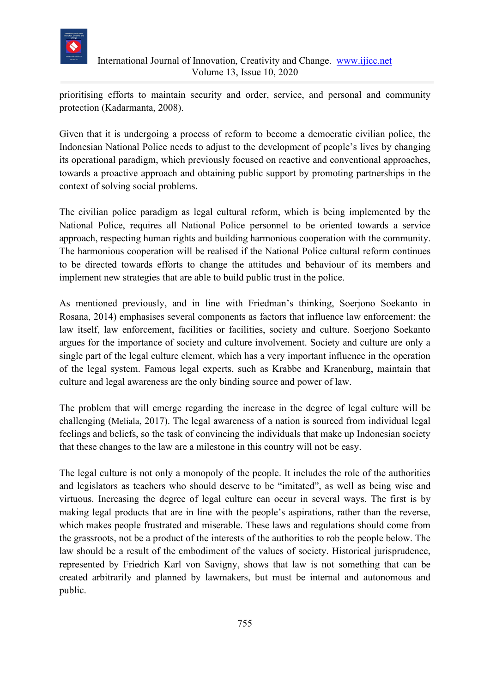

prioritising efforts to maintain security and order, service, and personal and community protection (Kadarmanta, 2008).

Given that it is undergoing a process of reform to become a democratic civilian police, the Indonesian National Police needs to adjust to the development of people's lives by changing its operational paradigm, which previously focused on reactive and conventional approaches, towards a proactive approach and obtaining public support by promoting partnerships in the context of solving social problems.

The civilian police paradigm as legal cultural reform, which is being implemented by the National Police, requires all National Police personnel to be oriented towards a service approach, respecting human rights and building harmonious cooperation with the community. The harmonious cooperation will be realised if the National Police cultural reform continues to be directed towards efforts to change the attitudes and behaviour of its members and implement new strategies that are able to build public trust in the police.

As mentioned previously, and in line with Friedman's thinking, Soerjono Soekanto in Rosana, 2014) emphasises several components as factors that influence law enforcement: the law itself, law enforcement, facilities or facilities, society and culture. Soerjono Soekanto argues for the importance of society and culture involvement. Society and culture are only a single part of the legal culture element, which has a very important influence in the operation of the legal system. Famous legal experts, such as Krabbe and Kranenburg, maintain that culture and legal awareness are the only binding source and power of law.

The problem that will emerge regarding the increase in the degree of legal culture will be challenging (Meliala, 2017). The legal awareness of a nation is sourced from individual legal feelings and beliefs, so the task of convincing the individuals that make up Indonesian society that these changes to the law are a milestone in this country will not be easy.

The legal culture is not only a monopoly of the people. It includes the role of the authorities and legislators as teachers who should deserve to be "imitated", as well as being wise and virtuous. Increasing the degree of legal culture can occur in several ways. The first is by making legal products that are in line with the people's aspirations, rather than the reverse, which makes people frustrated and miserable. These laws and regulations should come from the grassroots, not be a product of the interests of the authorities to rob the people below. The law should be a result of the embodiment of the values of society. Historical jurisprudence, represented by Friedrich Karl von Savigny, shows that law is not something that can be created arbitrarily and planned by lawmakers, but must be internal and autonomous and public.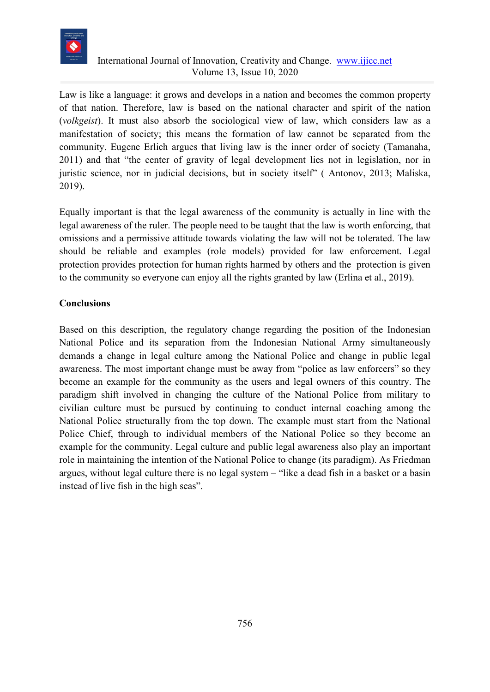

## International Journal of Innovation, Creativity and Change. [www.ijicc.net](http://www.ijicc.net/) Volume 13, Issue 10, 2020

Law is like a language: it grows and develops in a nation and becomes the common property of that nation. Therefore, law is based on the national character and spirit of the nation (*volkgeist*). It must also absorb the sociological view of law, which considers law as a manifestation of society; this means the formation of law cannot be separated from the community. Eugene Erlich argues that living law is the inner order of society (Tamanaha, 2011) and that "the center of gravity of legal development lies not in legislation, nor in juristic science, nor in judicial decisions, but in society itself" ( Antonov, 2013; Maliska, 2019).

Equally important is that the legal awareness of the community is actually in line with the legal awareness of the ruler. The people need to be taught that the law is worth enforcing, that omissions and a permissive attitude towards violating the law will not be tolerated. The law should be reliable and examples (role models) provided for law enforcement. Legal protection provides protection for human rights harmed by others and the protection is given to the community so everyone can enjoy all the rights granted by law (Erlina et al., 2019).

### **Conclusions**

Based on this description, the regulatory change regarding the position of the Indonesian National Police and its separation from the Indonesian National Army simultaneously demands a change in legal culture among the National Police and change in public legal awareness. The most important change must be away from "police as law enforcers" so they become an example for the community as the users and legal owners of this country. The paradigm shift involved in changing the culture of the National Police from military to civilian culture must be pursued by continuing to conduct internal coaching among the National Police structurally from the top down. The example must start from the National Police Chief, through to individual members of the National Police so they become an example for the community. Legal culture and public legal awareness also play an important role in maintaining the intention of the National Police to change (its paradigm). As Friedman argues, without legal culture there is no legal system – "like a dead fish in a basket or a basin instead of live fish in the high seas".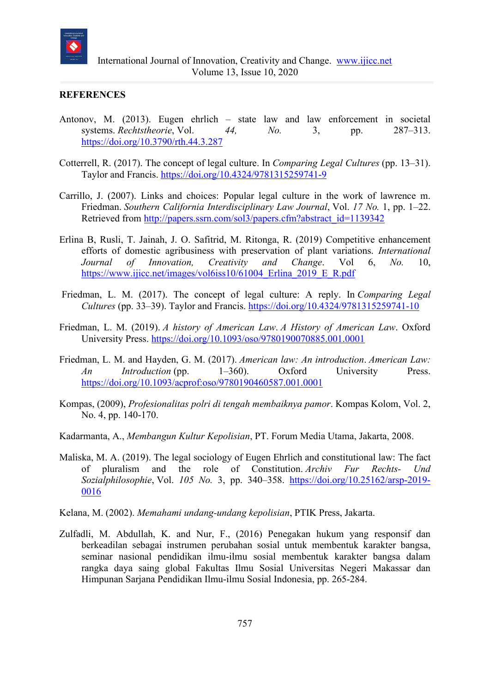

#### **REFERENCES**

- Antonov, M. (2013). Eugen ehrlich state law and law enforcement in societal systems. *Rechtstheorie*, Vol. *44, No.* 3, pp. 287–313. <https://doi.org/10.3790/rth.44.3.287>
- Cotterrell, R. (2017). The concept of legal culture. In *Comparing Legal Cultures* (pp. 13–31). Taylor and Francis.<https://doi.org/10.4324/9781315259741-9>
- Carrillo, J. (2007). Links and choices: Popular legal culture in the work of lawrence m. Friedman. *Southern California Interdisciplinary Law Journal*, Vol. *17 No.* 1, pp. 1–22. Retrieved from [http://papers.ssrn.com/sol3/papers.cfm?abstract\\_id=1139342](http://papers.ssrn.com/sol3/papers.cfm?abstract_id=1139342)
- Erlina B, Rusli, T. Jainah, J. O. Safitrid, M. Ritonga, R. (2019) Competitive enhancement efforts of domestic agribusiness with preservation of plant variations. *International Journal of Innovation, Creativity and Change*. Vol 6, *No.* 10, https://www.ijicc.net/images/vol6iss10/61004 Erlina 2019 E R.pdf
- Friedman, L. M. (2017). The concept of legal culture: A reply. In *Comparing Legal Cultures* (pp. 33–39). Taylor and Francis.<https://doi.org/10.4324/9781315259741-10>
- Friedman, L. M. (2019). *A history of American Law*. *A History of American Law*. Oxford University Press.<https://doi.org/10.1093/oso/9780190070885.001.0001>
- Friedman, L. M. and Hayden, G. M. (2017). *American law: An introduction*. *American Law: An Introduction* (pp. 1–360). Oxford University Press. <https://doi.org/10.1093/acprof:oso/9780190460587.001.0001>
- Kompas, (2009), *Profesionalitas polri di tengah membaiknya pamor*. Kompas Kolom, Vol. 2, No. 4, pp. 140-170.
- Kadarmanta, A., *Membangun Kultur Kepolisian*, PT. Forum Media Utama, Jakarta, 2008.
- Maliska, M. A. (2019). The legal sociology of Eugen Ehrlich and constitutional law: The fact of pluralism and the role of Constitution. *Archiv Fur Rechts- Und Sozialphilosophie*, Vol. *105 No.* 3, pp. 340–358. [https://doi.org/10.25162/arsp-2019-](https://doi.org/10.25162/arsp-2019-0016) [0016](https://doi.org/10.25162/arsp-2019-0016)
- Kelana, M. (2002). *Memahami undang-undang kepolisian*, PTIK Press, Jakarta.
- Zulfadli, M. Abdullah, K. and Nur, F., (2016) Penegakan hukum yang responsif dan berkeadilan sebagai instrumen perubahan sosial untuk membentuk karakter bangsa, seminar nasional pendidikan ilmu-ilmu sosial membentuk karakter bangsa dalam rangka daya saing global Fakultas Ilmu Sosial Universitas Negeri Makassar dan Himpunan Sarjana Pendidikan Ilmu-ilmu Sosial Indonesia, pp. 265-284.